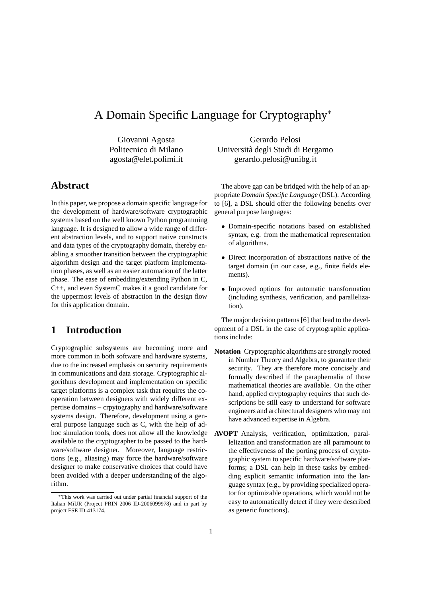# A Domain Specific Language for Cryptography<sup>∗</sup>

Giovanni Agosta Politecnico di Milano agosta@elet.polimi.it

## **Abstract**

In this paper, we propose a domain specific language for the development of hardware/software cryptographic systems based on the well known Python programming language. It is designed to allow a wide range of different abstraction levels, and to support native constructs and data types of the cryptography domain, thereby enabling a smoother transition between the cryptographic algorithm design and the target platform implementation phases, as well as an easier automation of the latter phase. The ease of embedding/extending Python in C, C++, and even SystemC makes it a good candidate for the uppermost levels of abstraction in the design flow for this application domain.

## **1 Introduction**

Cryptographic subsystems are becoming more and more common in both software and hardware systems, due to the increased emphasis on security requirements in communications and data storage. Cryptographic algorithms development and implementation on specific target platforms is a complex task that requires the cooperation between designers with widely different expertise domains – crpytography and hardware/software systems design. Therefore, development using a general purpose language such as C, with the help of adhoc simulation tools, does not allow all the knowledge available to the cryptographer to be passed to the hardware/software designer. Moreover, language restrictions (e.g., aliasing) may force the hardware/software designer to make conservative choices that could have been avoided with a deeper understanding of the algorithm.

Gerardo Pelosi Universit`a degli Studi di Bergamo gerardo.pelosi@unibg.it

The above gap can be bridged with the help of an appropriate *Domain Specific Language* (DSL). According to [6], a DSL should offer the following benefits over general purpose languages:

- Domain-specific notations based on established syntax, e.g. from the mathematical representation of algorithms.
- Direct incorporation of abstractions native of the target domain (in our case, e.g., finite fields elements).
- Improved options for automatic transformation (including synthesis, verification, and parallelization).

The major decision patterns [6] that lead to the development of a DSL in the case of cryptographic applications include:

- **Notation** Cryptographic algorithms are strongly rooted in Number Theory and Algebra, to guarantee their security. They are therefore more concisely and formally described if the paraphernalia of those mathematical theories are available. On the other hand, applied cryptography requires that such descriptions be still easy to understand for software engineers and architectural designers who may not have advanced expertise in Algebra.
- **AVOPT** Analysis, verification, optimization, parallelization and transformation are all paramount to the effectiveness of the porting process of cryptographic system to specific hardware/software platforms; a DSL can help in these tasks by embedding explicit semantic information into the language syntax (e.g., by providing specialized operator for optimizable operations, which would not be easy to automatically detect if they were described as generic functions).

<sup>∗</sup>This work was carried out under partial financial support of the Italian MiUR (Project PRIN 2006 ID-2006099978) and in part by project FSE ID-413174.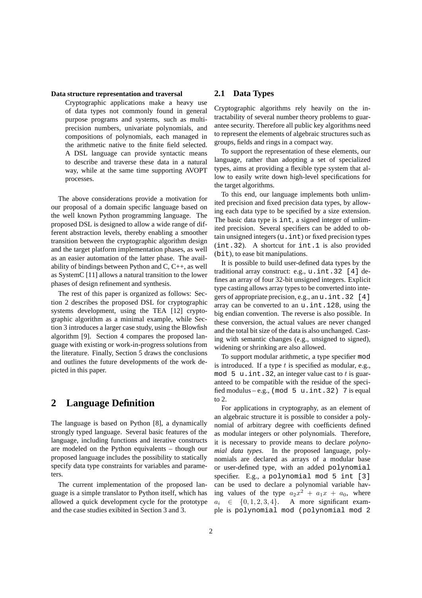#### **Data structure representation and traversal**

Cryptographic applications make a heavy use of data types not commonly found in general purpose programs and systems, such as multiprecision numbers, univariate polynomials, and compositions of polynomials, each managed in the arithmetic native to the finite field selected. A DSL language can provide syntactic means to describe and traverse these data in a natural way, while at the same time supporting AVOPT processes.

The above considerations provide a motivation for our proposal of a domain specific language based on the well known Python programming language. The proposed DSL is designed to allow a wide range of different abstraction levels, thereby enabling a smoother transition between the cryptographic algorithm design and the target platform implementation phases, as well as an easier automation of the latter phase. The availability of bindings between Python and C, C++, as well as SystemC [11] allows a natural transition to the lower phases of design refinement and synthesis.

The rest of this paper is organized as follows: Section 2 describes the proposed DSL for cryptographic systems development, using the TEA [12] cryptographic algorithm as a minimal example, while Section 3 introduces a larger case study, using the Blowfish algorithm [9]. Section 4 compares the proposed language with existing or work-in-progress solutions from the literature. Finally, Section 5 draws the conclusions and outlines the future developments of the work depicted in this paper.

### **2 Language Definition**

The language is based on Python [8], a dynamically strongly typed language. Several basic features of the language, including functions and iterative constructs are modeled on the Python equivalents – though our proposed language includes the possibility to statically specify data type constraints for variables and parameters.

The current implementation of the proposed language is a simple translator to Python itself, which has allowed a quick development cycle for the prototype and the case studies exibited in Section 3 and 3.

#### **2.1 Data Types**

Cryptographic algorithms rely heavily on the intractability of several number theory problems to guarantee security. Therefore all public key algorithms need to represent the elements of algebraic structures such as groups, fields and rings in a compact way.

To support the representation of these elements, our language, rather than adopting a set of specialized types, aims at providing a flexible type system that allow to easily write down high-level specifications for the target algorithms.

To this end, our language implements both unlimited precision and fixed precision data types, by allowing each data type to be specified by a size extension. The basic data type is int, a signed integer of unlimited precision. Several specifiers can be added to obtain unsigned integers (u.int) or fixed precision types (int.32). A shortcut for int.1 is also provided (bit), to ease bit manipulations.

It is possible to build user-defined data types by the traditional array construct: e.g., u.int.32 [4] defines an array of four 32-bit unsigned integers. Explicit type casting allows array types to be converted into integers of appropriate precision, e.g., an u.int.32 [4] array can be converted to an u.int.128, using the big endian convention. The reverse is also possible. In these conversion, the actual values are never changed and the total bit size of the data is also unchanged. Casting with semantic changes (e.g., unsigned to signed), widening or shrinking are also allowed.

To support modular arithmetic, a type specifier mod is introduced. If a type  $t$  is specified as modular, e.g., mod 5 u. int. 32, an integer value cast to t is guaranteed to be compatible with the residue of the specified modulus – e.g., (mod  $5 u.int.32$ ) 7 is equal to 2.

For applications in cryptography, as an element of an algebraic structure it is possible to consider a polynomial of arbitrary degree with coefficients defined as modular integers or other polynomials. Therefore, it is necessary to provide means to declare *polynomial data types*. In the proposed language, polynomials are declared as arrays of a modular base or user-defined type, with an added polynomial specifier. E.g., a polynomial mod 5 int [3] can be used to declare a polynomial variable having values of the type  $a_2x^2 + a_1x + a_0$ , where  $a_i \in \{0, 1, 2, 3, 4\}.$  A more significant example is polynomial mod (polynomial mod 2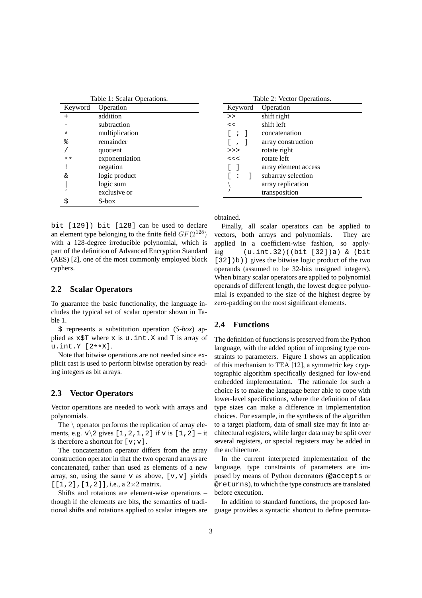| Table 1: Scalar Operations. |                |
|-----------------------------|----------------|
| Keyword                     | Operation      |
| $\ddot{}$                   | addition       |
|                             | subtraction    |
| $\star$                     | multiplication |
| ిక                          | remainder      |
|                             | quotient       |
| * *                         | exponentiation |
| ī                           | negation       |
| δz                          | logic product  |
|                             | logic sum      |
|                             | exclusive or   |
| \$                          | S-box          |

bit [129]) bit [128] can be used to declare an element type belonging to the finite field  $GF(2^{128})$ with a 128-degree irreducible polynomial, which is part of the definition of Advanced Encryption Standard (AES) [2], one of the most commonly employed block cyphers.

#### **2.2 Scalar Operators**

To guarantee the basic functionality, the language includes the typical set of scalar operator shown in Table 1.

\$ represents a substitution operation (*S-box*) applied as  $x$ \$T where  $x$  is  $u$ . int.  $X$  and  $T$  is array of u.int.Y [2\*\*X].

Note that bitwise operations are not needed since explicit cast is used to perform bitwise operation by reading integers as bit arrays.

### **2.3 Vector Operators**

Vector operations are needed to work with arrays and polynomials.

The  $\setminus$  operator performs the replication of array elements, e.g.  $v \gtrsim 2$  gives [1, 2, 1, 2] if v is [1, 2] – it is therefore a shortcut for  $[v;v]$ .

The concatenation operator differs from the array construction operator in that the two operand arrays are concatenated, rather than used as elements of a new array, so, using the same v as above,  $[v, v]$  yields  $[1,2]$ ,  $[1,2]$ ], i.e., a  $2\times 2$  matrix.

Shifts and rotations are element-wise operations – though if the elements are bits, the semantics of traditional shifts and rotations applied to scalar integers are

| Table 2: Vector Operations. |                      |
|-----------------------------|----------------------|
| Keyword                     | Operation            |
| >                           | shift right          |
| <<                          | shift left           |
| $\Box$                      | concatenation        |
| $\Box$<br>$\Box$            | array construction   |
| >>                          | rotate right         |
| <<                          | rotate left          |
|                             | array element access |
| -1<br>- :                   | subarray selection   |
|                             | array replication    |
|                             | transposition        |

obtained.

Finally, all scalar operators can be applied to vectors, both arrays and polynomials. They are applied in a coefficient-wise fashion, so applying (u.int.32)((bit [32])a) & (bit [32])b)) gives the bitwise logic product of the two operands (assumed to be 32-bits unsigned integers). When binary scalar operators are applied to polynomial operands of different length, the lowest degree polynomial is expanded to the size of the highest degree by zero-padding on the most significant elements.

#### **2.4 Functions**

The definition of functions is preserved from the Python language, with the added option of imposing type constraints to parameters. Figure 1 shows an application of this mechanism to TEA [12], a symmetric key cryptographic algorithm specifically designed for low-end embedded implementation. The rationale for such a choice is to make the language better able to cope with lower-level specifications, where the definition of data type sizes can make a difference in implementation choices. For example, in the synthesis of the algorithm to a target platform, data of small size may fit into architectural registers, while larger data may be split over several registers, or special registers may be added in the architecture.

In the current interpreted implementation of the language, type constraints of parameters are imposed by means of Python decorators (@accepts or @returns), to which the type constructs are translated before execution.

In addition to standard functions, the proposed language provides a syntactic shortcut to define permuta-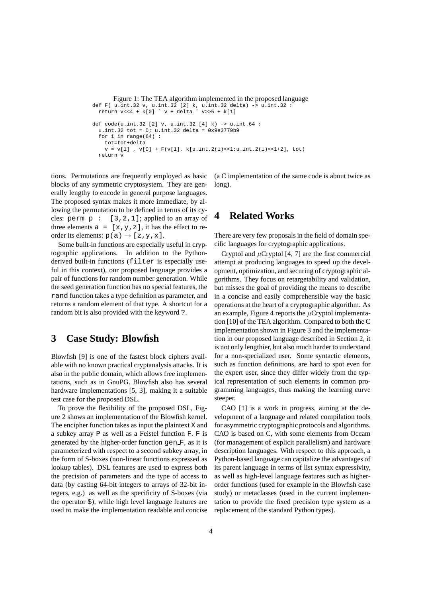```
Figure 1: The TEA algorithm implemented in the proposed language
def F( u.int.32 v, u.int.32 [2] k, u.int.32 delta) -> u.int.32 :
  return v<<4 + k[0] ˆ v + delta ˆ v>>5 + k[1]
def code(u.int.32 [2] v, u.int.32 [4] k) \rightarrow u.int.64 :u.int.32 tot = 0; u.int.32 delta = 0x9e3779b9for i in range(64) :
    tot=tot+delta
    v = v[1], v[0] + F(v[1], k[u.int.2(i) << 1:u.int.2(i) << 1+2], tot)return v
```
tions. Permutations are frequently employed as basic blocks of any symmetric cryptosystem. They are generally lengthy to encode in general purpose languages. The proposed syntax makes it more immediate, by allowing the permutation to be defined in terms of its cycles: perm  $p : [3, 2, 1]$ ; applied to an array of three elements  $a = [x, y, z]$ , it has the effect to reorder its elements:  $p(a) \rightarrow [z, y, x]$ .

Some built-in functions are especially useful in cryptographic applications. In addition to the Pythonderived built-in functions (filter is especially useful in this context), our proposed language provides a pair of functions for random number generation. While the seed generation function has no special features, the rand function takes a type definition as parameter, and returns a random element of that type. A shortcut for a random bit is also provided with the keyword ?.

### **3 Case Study: Blowfish**

Blowfish [9] is one of the fastest block ciphers available with no known practical cryptanalysis attacks. It is also in the public domain, which allows free implementations, such as in GnuPG. Blowfish also has several hardware implementations [5, 3], making it a suitable test case for the proposed DSL.

To prove the flexibility of the proposed DSL, Figure 2 shows an implementation of the Blowfish kernel. The encipher function takes as input the plaintext X and a subkey array P as well as a Feistel function F. F is generated by the higher-order function gen F, as it is parameterized with respect to a second subkey array, in the form of S-boxes (non-linear functions expressed as lookup tables). DSL features are used to express both the precision of parameters and the type of access to data (by casting 64-bit integers to arrays of 32-bit integers, e.g.) as well as the specificity of S-boxes (via the operator \$), while high level language features are used to make the implementation readable and concise (a C implementation of the same code is about twice as long).

### **4 Related Works**

There are very few proposals in the field of domain specific languages for cryptographic applications.

Cryptol and  $\mu$ Cryptol [4, 7] are the first commercial attempt at producing languages to speed up the development, optimization, and securing of cryptographic algorithms. They focus on retargetability and validation, but misses the goal of providing the means to describe in a concise and easily comprehensible way the basic operations at the heart of a cryptographic algorithm. As an example, Figure 4 reports the  $\mu$ Cryptol implementation [10] of the TEA algorithm. Compared to both the C implementation shown in Figure 3 and the implementation in our proposed language described in Section 2, it is not only lengthier, but also much harder to understand for a non-specialized user. Some syntactic elements, such as function definitions, are hard to spot even for the expert user, since they differ widely from the typical representation of such elements in common programming languages, thus making the learning curve steeper.

CAO [1] is a work in progress, aiming at the development of a language and related compilation tools for asymmetric cryptographic protocols and algorithms. CAO is based on C, with some elements from Occam (for management of explicit parallelism) and hardware description languages. With respect to this approach, a Python-based language can capitalize the advantages of its parent language in terms of list syntax expressivity, as well as high-level language features such as higherorder functions (used for example in the Blowfish case study) or metaclasses (used in the current implementation to provide the fixed precision type system as a replacement of the standard Python types).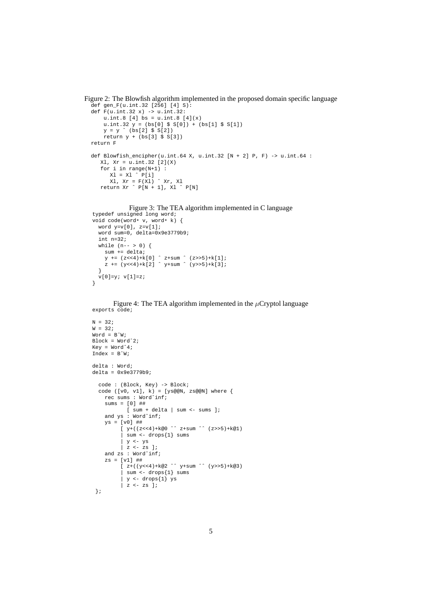```
Figure 2: The Blowfish algorithm implemented in the proposed domain specific language
  def gen_F(u.int.32 [256] [4] S):
```

```
def F(u.int.32 x) -> u.int.32:
   u.int.8 [4] bs = u.int.8 [4](x)
    u.int.32 y = (bs[0] $ S[0]) + (bs[1] $ S[1])
    y = y ˆ (bs[2] $ S[2])
   return y + (bs[3] \S S[3])return F
def Blowfish_encipher(u.int.64 X, u.int.32 [N + 2] P, F) -> u.int.64 :
   x1, x = u.int.32 [2](x)for i in range(N+1) :
     x1 = x1 \cap P[i]Xl, Xr = F(Xl) ˆ Xr, Xl
   return Xr ˆ P[N + 1], Xl ˆ P[N]
```
Figure 3: The TEA algorithm implemented in C language

```
typedef unsigned long word;
void code(word* v, word* k) {
  word y=v[0], z=v[1];
  word sum=0, delta=0x9e3779b9;
  int n=32;
  while (n-- > 0) {
    sum += delta;
    y \leftarrow (z \leftarrow 4) + k[0] \hat{z} +sum (z \rightarrow 5) + k[1];z += (y<<4)+k[2] ^ y+sum ^ (y>>5)+k[3];
  }
  v[0]=y; v[1]=z;}
```
Figure 4: The TEA algorithm implemented in the  $\mu$ Cryptol language exports code;

```
N = 32;W = 32;Word = BˆW;
Block = Wordˆ2;
Kev = Word^4;Index = B^Wdelta : Word;
delta = 0x9e3779b9;
  code : (Block, Key) -> Block;
   code ([v0, v1], k) = [ys@@N, zs@@N] where {
      rec sums : Wordˆinf;
     sums = [0] ##[ sum + delta | sum <- sums ];
     and ys : Wordˆinf;
     ys = [v0] ##[y+( (z<<4) + k@0 \text{^}2*sum \text{^}3* (z>>5) + k@1)| sum <- drops{1} sums
             | y <- ys
             | z \leftarrow \overline{z} s ];
     and zs : Word^inf;
     zs = [v1] ##
            \left[ \begin{array}{cc} z+((y<<4)+k@2 \ \end{array} \right] \left[ \begin{array}{cc} z+((y<<4)+k@2 \ \end{array} \right]| sum <- drops{1} sums
             | y <- drops{1} ys
            \begin{vmatrix} 2 & -2 & 2 \\ 2 & -2 & 3 \end{vmatrix}};
```